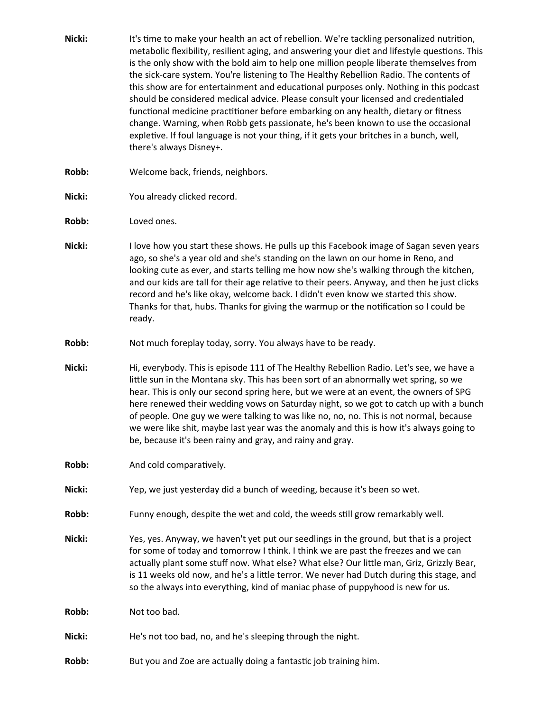Nicki: It's time to make your health an act of rebellion. We're tackling personalized nutrition, metabolic flexibility, resilient aging, and answering your diet and lifestyle questions. This is the only show with the bold aim to help one million people liberate themselves from the sick-care system. You're listening to The Healthy Rebellion Radio. The contents of this show are for entertainment and educational purposes only. Nothing in this podcast should be considered medical advice. Please consult your licensed and credentialed functional medicine practitioner before embarking on any health, dietary or fitness change. Warning, when Robb gets passionate, he's been known to use the occasional expletive. If foul language is not your thing, if it gets your britches in a bunch, well, there's always Disney+. **Robb:** Welcome back, friends, neighbors. Nicki: You already clicked record. **Robb:** Loved ones. **Nicki:** I love how you start these shows. He pulls up this Facebook image of Sagan seven years ago, so she's a year old and she's standing on the lawn on our home in Reno, and looking cute as ever, and starts telling me how now she's walking through the kitchen, and our kids are tall for their age relative to their peers. Anyway, and then he just clicks record and he's like okay, welcome back. I didn't even know we started this show. Thanks for that, hubs. Thanks for giving the warmup or the notification so I could be ready. **Robb:** Not much foreplay today, sorry. You always have to be ready. **Nicki:** Hi, everybody. This is episode 111 of The Healthy Rebellion Radio. Let's see, we have a little sun in the Montana sky. This has been sort of an abnormally wet spring, so we hear. This is only our second spring here, but we were at an event, the owners of SPG here renewed their wedding vows on Saturday night, so we got to catch up with a bunch of people. One guy we were talking to was like no, no, no. This is not normal, because we were like shit, maybe last year was the anomaly and this is how it's always going to be, because it's been rainy and gray, and rainy and gray. **Robb:** And cold comparatively. **Nicki:** Yep, we just yesterday did a bunch of weeding, because it's been so wet. **Robb:** Funny enough, despite the wet and cold, the weeds still grow remarkably well. **Nicki:** Yes, yes. Anyway, we haven't yet put our seedlings in the ground, but that is a project for some of today and tomorrow I think. I think we are past the freezes and we can actually plant some stuff now. What else? What else? Our little man, Griz, Grizzly Bear, is 11 weeks old now, and he's a little terror. We never had Dutch during this stage, and so the always into everything, kind of maniac phase of puppyhood is new for us. **Robb:** Not too bad. **Nicki:** He's not too bad, no, and he's sleeping through the night. **Robb:** But you and Zoe are actually doing a fantastic job training him.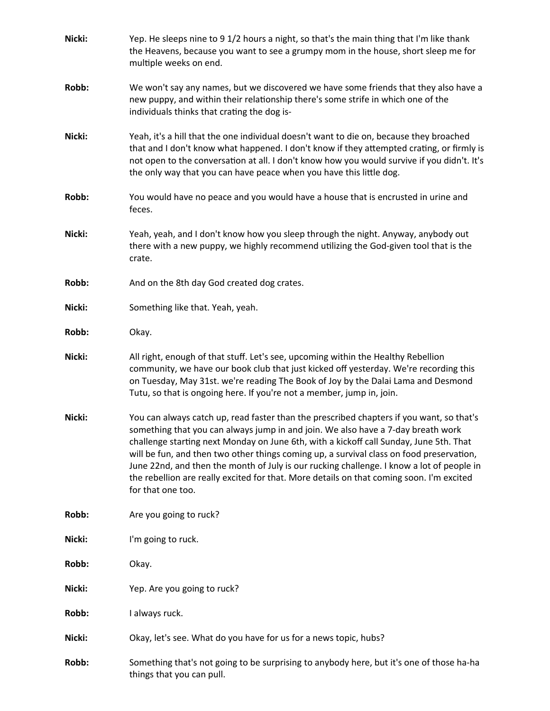| Nicki: | Yep. He sleeps nine to 9 1/2 hours a night, so that's the main thing that I'm like thank<br>the Heavens, because you want to see a grumpy mom in the house, short sleep me for<br>multiple weeks on end.                                                                                                                                                                                                                                                                                                                                                                         |
|--------|----------------------------------------------------------------------------------------------------------------------------------------------------------------------------------------------------------------------------------------------------------------------------------------------------------------------------------------------------------------------------------------------------------------------------------------------------------------------------------------------------------------------------------------------------------------------------------|
| Robb:  | We won't say any names, but we discovered we have some friends that they also have a<br>new puppy, and within their relationship there's some strife in which one of the<br>individuals thinks that crating the dog is-                                                                                                                                                                                                                                                                                                                                                          |
| Nicki: | Yeah, it's a hill that the one individual doesn't want to die on, because they broached<br>that and I don't know what happened. I don't know if they attempted crating, or firmly is<br>not open to the conversation at all. I don't know how you would survive if you didn't. It's<br>the only way that you can have peace when you have this little dog.                                                                                                                                                                                                                       |
| Robb:  | You would have no peace and you would have a house that is encrusted in urine and<br>feces.                                                                                                                                                                                                                                                                                                                                                                                                                                                                                      |
| Nicki: | Yeah, yeah, and I don't know how you sleep through the night. Anyway, anybody out<br>there with a new puppy, we highly recommend utilizing the God-given tool that is the<br>crate.                                                                                                                                                                                                                                                                                                                                                                                              |
| Robb:  | And on the 8th day God created dog crates.                                                                                                                                                                                                                                                                                                                                                                                                                                                                                                                                       |
| Nicki: | Something like that. Yeah, yeah.                                                                                                                                                                                                                                                                                                                                                                                                                                                                                                                                                 |
| Robb:  | Okay.                                                                                                                                                                                                                                                                                                                                                                                                                                                                                                                                                                            |
| Nicki: | All right, enough of that stuff. Let's see, upcoming within the Healthy Rebellion<br>community, we have our book club that just kicked off yesterday. We're recording this<br>on Tuesday, May 31st. we're reading The Book of Joy by the Dalai Lama and Desmond<br>Tutu, so that is ongoing here. If you're not a member, jump in, join.                                                                                                                                                                                                                                         |
| Nicki: | You can always catch up, read faster than the prescribed chapters if you want, so that's<br>something that you can always jump in and join. We also have a 7-day breath work<br>challenge starting next Monday on June 6th, with a kickoff call Sunday, June 5th. That<br>will be fun, and then two other things coming up, a survival class on food preservation,<br>June 22nd, and then the month of July is our rucking challenge. I know a lot of people in<br>the rebellion are really excited for that. More details on that coming soon. I'm excited<br>for that one too. |
| Robb:  | Are you going to ruck?                                                                                                                                                                                                                                                                                                                                                                                                                                                                                                                                                           |
| Nicki: | I'm going to ruck.                                                                                                                                                                                                                                                                                                                                                                                                                                                                                                                                                               |
| Robb:  | Okay.                                                                                                                                                                                                                                                                                                                                                                                                                                                                                                                                                                            |
| Nicki: | Yep. Are you going to ruck?                                                                                                                                                                                                                                                                                                                                                                                                                                                                                                                                                      |
| Robb:  | I always ruck.                                                                                                                                                                                                                                                                                                                                                                                                                                                                                                                                                                   |
| Nicki: | Okay, let's see. What do you have for us for a news topic, hubs?                                                                                                                                                                                                                                                                                                                                                                                                                                                                                                                 |
| Robb:  | Something that's not going to be surprising to anybody here, but it's one of those ha-ha<br>things that you can pull.                                                                                                                                                                                                                                                                                                                                                                                                                                                            |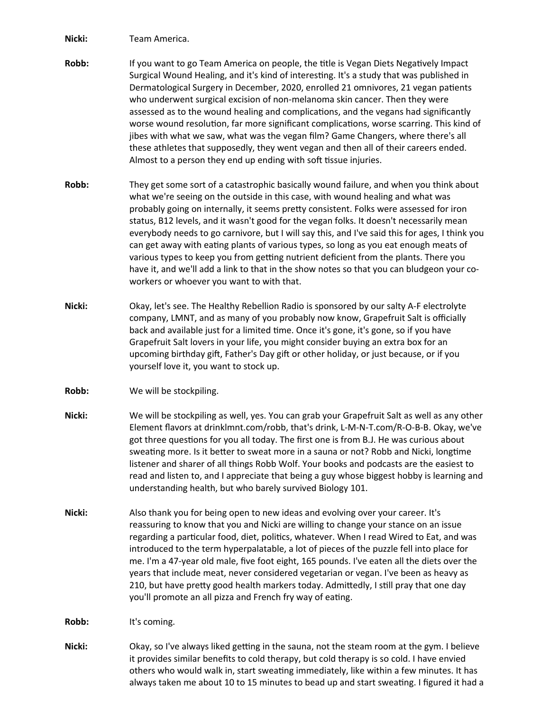**Nicki:** Team America.

- **Robb:** If you want to go Team America on people, the title is Vegan Diets Negatively Impact Surgical Wound Healing, and it's kind of interesting. It's a study that was published in Dermatological Surgery in December, 2020, enrolled 21 omnivores, 21 vegan patients who underwent surgical excision of non-melanoma skin cancer. Then they were assessed as to the wound healing and complications, and the vegans had significantly worse wound resolution, far more significant complications, worse scarring. This kind of jibes with what we saw, what was the vegan film? Game Changers, where there's all these athletes that supposedly, they went vegan and then all of their careers ended. Almost to a person they end up ending with soft tissue injuries.
- **Robb:** They get some sort of a catastrophic basically wound failure, and when you think about what we're seeing on the outside in this case, with wound healing and what was probably going on internally, it seems pretty consistent. Folks were assessed for iron status, B12 levels, and it wasn't good for the vegan folks. It doesn't necessarily mean everybody needs to go carnivore, but I will say this, and I've said this for ages, I think you can get away with eating plants of various types, so long as you eat enough meats of various types to keep you from getting nutrient deficient from the plants. There you have it, and we'll add a link to that in the show notes so that you can bludgeon your coworkers or whoever you want to with that.
- **Nicki:** Okay, let's see. The Healthy Rebellion Radio is sponsored by our salty A-F electrolyte company, LMNT, and as many of you probably now know, Grapefruit Salt is officially back and available just for a limited time. Once it's gone, it's gone, so if you have Grapefruit Salt lovers in your life, you might consider buying an extra box for an upcoming birthday gift, Father's Day gift or other holiday, or just because, or if you yourself love it, you want to stock up.
- **Robb:** We will be stockpiling.
- **Nicki:** We will be stockpiling as well, yes. You can grab your Grapefruit Salt as well as any other Element flavors at drinklmnt.com/robb, that's drink, L-M-N-T.com/R-O-B-B. Okay, we've got three questions for you all today. The first one is from B.J. He was curious about sweating more. Is it better to sweat more in a sauna or not? Robb and Nicki, longtime listener and sharer of all things Robb Wolf. Your books and podcasts are the easiest to read and listen to, and I appreciate that being a guy whose biggest hobby is learning and understanding health, but who barely survived Biology 101.
- **Nicki:** Also thank you for being open to new ideas and evolving over your career. It's reassuring to know that you and Nicki are willing to change your stance on an issue regarding a particular food, diet, politics, whatever. When I read Wired to Eat, and was introduced to the term hyperpalatable, a lot of pieces of the puzzle fell into place for me. I'm a 47-year old male, five foot eight, 165 pounds. I've eaten all the diets over the years that include meat, never considered vegetarian or vegan. I've been as heavy as 210, but have pretty good health markers today. Admittedly, I still pray that one day you'll promote an all pizza and French fry way of eating.

**Robb:** It's coming.

**Nicki:** Okay, so I've always liked getting in the sauna, not the steam room at the gym. I believe it provides similar benefits to cold therapy, but cold therapy is so cold. I have envied others who would walk in, start sweating immediately, like within a few minutes. It has always taken me about 10 to 15 minutes to bead up and start sweating. I figured it had a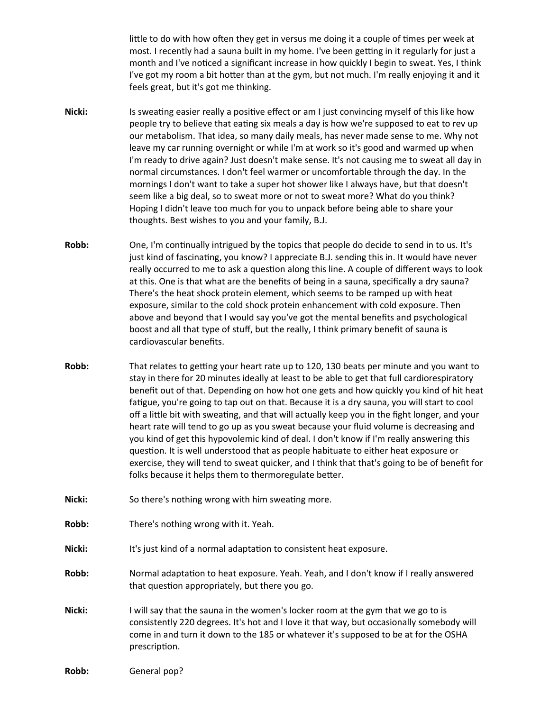little to do with how often they get in versus me doing it a couple of times per week at most. I recently had a sauna built in my home. I've been getting in it regularly for just a month and I've noticed a significant increase in how quickly I begin to sweat. Yes, I think I've got my room a bit hotter than at the gym, but not much. I'm really enjoying it and it feels great, but it's got me thinking.

- **Nicki:** Is sweating easier really a positive effect or am I just convincing myself of this like how people try to believe that eating six meals a day is how we're supposed to eat to rev up our metabolism. That idea, so many daily meals, has never made sense to me. Why not leave my car running overnight or while I'm at work so it's good and warmed up when I'm ready to drive again? Just doesn't make sense. It's not causing me to sweat all day in normal circumstances. I don't feel warmer or uncomfortable through the day. In the mornings I don't want to take a super hot shower like I always have, but that doesn't seem like a big deal, so to sweat more or not to sweat more? What do you think? Hoping I didn't leave too much for you to unpack before being able to share your thoughts. Best wishes to you and your family, B.J.
- **Robb:** One, I'm continually intrigued by the topics that people do decide to send in to us. It's just kind of fascinating, you know? I appreciate B.J. sending this in. It would have never really occurred to me to ask a question along this line. A couple of different ways to look at this. One is that what are the benefits of being in a sauna, specifically a dry sauna? There's the heat shock protein element, which seems to be ramped up with heat exposure, similar to the cold shock protein enhancement with cold exposure. Then above and beyond that I would say you've got the mental benefits and psychological boost and all that type of stuff, but the really, I think primary benefit of sauna is cardiovascular benefits.
- **Robb:** That relates to getting your heart rate up to 120, 130 beats per minute and you want to stay in there for 20 minutes ideally at least to be able to get that full cardiorespiratory benefit out of that. Depending on how hot one gets and how quickly you kind of hit heat fatigue, you're going to tap out on that. Because it is a dry sauna, you will start to cool off a little bit with sweating, and that will actually keep you in the fight longer, and your heart rate will tend to go up as you sweat because your fluid volume is decreasing and you kind of get this hypovolemic kind of deal. I don't know if I'm really answering this question. It is well understood that as people habituate to either heat exposure or exercise, they will tend to sweat quicker, and I think that that's going to be of benefit for folks because it helps them to thermoregulate better.
- **Nicki:** So there's nothing wrong with him sweating more.
- **Robb:** There's nothing wrong with it. Yeah.
- **Nicki:** It's just kind of a normal adaptation to consistent heat exposure.
- **Robb:** Normal adaptation to heat exposure. Yeah. Yeah, and I don't know if I really answered that question appropriately, but there you go.
- **Nicki:** I will say that the sauna in the women's locker room at the gym that we go to is consistently 220 degrees. It's hot and I love it that way, but occasionally somebody will come in and turn it down to the 185 or whatever it's supposed to be at for the OSHA prescription.

**Robb:** General pop?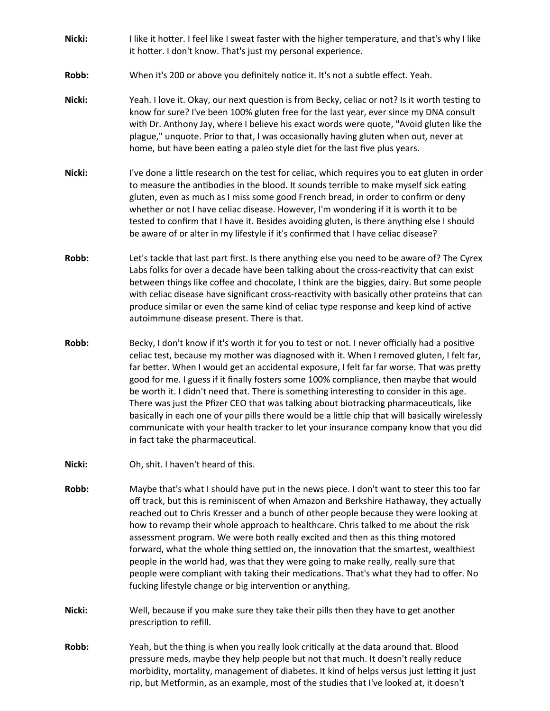- **Nicki:** I like it hotter. I feel like I sweat faster with the higher temperature, and that's why I like it hotter. I don't know. That's just my personal experience.
- **Robb:** When it's 200 or above you definitely notice it. It's not a subtle effect. Yeah.
- **Nicki:** Yeah. I love it. Okay, our next question is from Becky, celiac or not? Is it worth testing to know for sure? I've been 100% gluten free for the last year, ever since my DNA consult with Dr. Anthony Jay, where I believe his exact words were quote, "Avoid gluten like the plague," unquote. Prior to that, I was occasionally having gluten when out, never at home, but have been eating a paleo style diet for the last five plus years.
- Nicki: I've done a little research on the test for celiac, which requires you to eat gluten in order to measure the antibodies in the blood. It sounds terrible to make myself sick eating gluten, even as much as I miss some good French bread, in order to confirm or deny whether or not I have celiac disease. However, I'm wondering if it is worth it to be tested to confirm that I have it. Besides avoiding gluten, is there anything else I should be aware of or alter in my lifestyle if it's confirmed that I have celiac disease?
- **Robb:** Let's tackle that last part first. Is there anything else you need to be aware of? The Cyrex Labs folks for over a decade have been talking about the cross-reactivity that can exist between things like coffee and chocolate, I think are the biggies, dairy. But some people with celiac disease have significant cross-reactivity with basically other proteins that can produce similar or even the same kind of celiac type response and keep kind of active autoimmune disease present. There is that.
- **Robb:** Becky, I don't know if it's worth it for you to test or not. I never officially had a positive celiac test, because my mother was diagnosed with it. When I removed gluten, I felt far, far better. When I would get an accidental exposure, I felt far far worse. That was pretty good for me. I guess if it finally fosters some 100% compliance, then maybe that would be worth it. I didn't need that. There is something interesting to consider in this age. There was just the Pfizer CEO that was talking about biotracking pharmaceuticals, like basically in each one of your pills there would be a little chip that will basically wirelessly communicate with your health tracker to let your insurance company know that you did in fact take the pharmaceutical.
- **Nicki:** Oh, shit. I haven't heard of this.
- **Robb:** Maybe that's what I should have put in the news piece. I don't want to steer this too far off track, but this is reminiscent of when Amazon and Berkshire Hathaway, they actually reached out to Chris Kresser and a bunch of other people because they were looking at how to revamp their whole approach to healthcare. Chris talked to me about the risk assessment program. We were both really excited and then as this thing motored forward, what the whole thing settled on, the innovation that the smartest, wealthiest people in the world had, was that they were going to make really, really sure that people were compliant with taking their medications. That's what they had to offer. No fucking lifestyle change or big intervention or anything.
- **Nicki:** Well, because if you make sure they take their pills then they have to get another prescription to refill.
- **Robb:** Yeah, but the thing is when you really look critically at the data around that. Blood pressure meds, maybe they help people but not that much. It doesn't really reduce morbidity, mortality, management of diabetes. It kind of helps versus just letting it just rip, but Metformin, as an example, most of the studies that I've looked at, it doesn't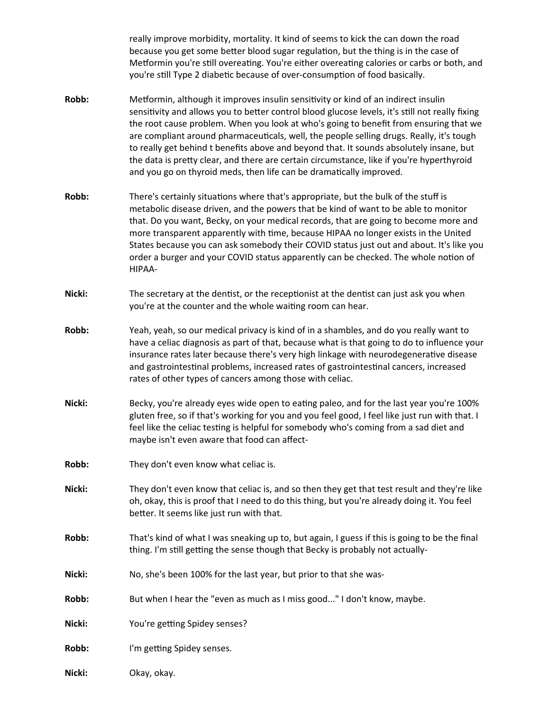really improve morbidity, mortality. It kind of seems to kick the can down the road because you get some better blood sugar regulation, but the thing is in the case of Metformin you're still overeating. You're either overeating calories or carbs or both, and you're still Type 2 diabetic because of over-consumption of food basically.

- **Robb:** Metformin, although it improves insulin sensitivity or kind of an indirect insulin sensitivity and allows you to better control blood glucose levels, it's still not really fixing the root cause problem. When you look at who's going to benefit from ensuring that we are compliant around pharmaceuticals, well, the people selling drugs. Really, it's tough to really get behind t benefits above and beyond that. It sounds absolutely insane, but the data is pretty clear, and there are certain circumstance, like if you're hyperthyroid and you go on thyroid meds, then life can be dramatically improved.
- **Robb:** There's certainly situations where that's appropriate, but the bulk of the stuff is metabolic disease driven, and the powers that be kind of want to be able to monitor that. Do you want, Becky, on your medical records, that are going to become more and more transparent apparently with time, because HIPAA no longer exists in the United States because you can ask somebody their COVID status just out and about. It's like you order a burger and your COVID status apparently can be checked. The whole notion of HIPAA-
- **Nicki:** The secretary at the dentist, or the receptionist at the dentist can just ask you when you're at the counter and the whole waiting room can hear.
- **Robb:** Yeah, yeah, so our medical privacy is kind of in a shambles, and do you really want to have a celiac diagnosis as part of that, because what is that going to do to influence your insurance rates later because there's very high linkage with neurodegenerative disease and gastrointestinal problems, increased rates of gastrointestinal cancers, increased rates of other types of cancers among those with celiac.
- **Nicki:** Becky, you're already eyes wide open to eating paleo, and for the last year you're 100% gluten free, so if that's working for you and you feel good, I feel like just run with that. I feel like the celiac testing is helpful for somebody who's coming from a sad diet and maybe isn't even aware that food can affect-
- **Robb:** They don't even know what celiac is.
- **Nicki:** They don't even know that celiac is, and so then they get that test result and they're like oh, okay, this is proof that I need to do this thing, but you're already doing it. You feel better. It seems like just run with that.
- **Robb:** That's kind of what I was sneaking up to, but again, I guess if this is going to be the final thing. I'm still getting the sense though that Becky is probably not actually-
- **Nicki:** No, she's been 100% for the last year, but prior to that she was-
- **Robb:** But when I hear the "even as much as I miss good..." I don't know, maybe.
- **Nicki:** You're getting Spidey senses?
- **Robb:** I'm getting Spidey senses.
- **Nicki:** Okay, okay.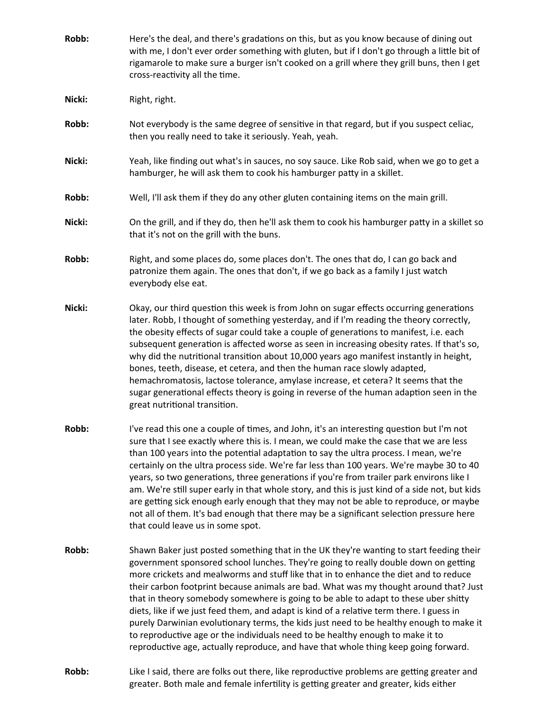- **Robb:** Here's the deal, and there's gradations on this, but as you know because of dining out with me, I don't ever order something with gluten, but if I don't go through a little bit of rigamarole to make sure a burger isn't cooked on a grill where they grill buns, then I get cross-reactivity all the time. **Nicki:** Right, right. **Robb:** Not everybody is the same degree of sensitive in that regard, but if you suspect celiac, then you really need to take it seriously. Yeah, yeah. **Nicki:** Yeah, like finding out what's in sauces, no soy sauce. Like Rob said, when we go to get a hamburger, he will ask them to cook his hamburger patty in a skillet. **Robb:** Well, I'll ask them if they do any other gluten containing items on the main grill. **Nicki:** On the grill, and if they do, then he'll ask them to cook his hamburger patty in a skillet so that it's not on the grill with the buns. **Robb:** Right, and some places do, some places don't. The ones that do, I can go back and patronize them again. The ones that don't, if we go back as a family I just watch everybody else eat. **Nicki:** Okay, our third question this week is from John on sugar effects occurring generations later. Robb, I thought of something yesterday, and if I'm reading the theory correctly, the obesity effects of sugar could take a couple of generations to manifest, i.e. each subsequent generation is affected worse as seen in increasing obesity rates. If that's so, why did the nutritional transition about 10,000 years ago manifest instantly in height, bones, teeth, disease, et cetera, and then the human race slowly adapted, hemachromatosis, lactose tolerance, amylase increase, et cetera? It seems that the sugar generational effects theory is going in reverse of the human adaption seen in the great nutritional transition. **Robb:** I've read this one a couple of times, and John, it's an interesting question but I'm not sure that I see exactly where this is. I mean, we could make the case that we are less than 100 years into the potential adaptation to say the ultra process. I mean, we're certainly on the ultra process side. We're far less than 100 years. We're maybe 30 to 40 years, so two generations, three generations if you're from trailer park environs like I am. We're still super early in that whole story, and this is just kind of a side not, but kids are getting sick enough early enough that they may not be able to reproduce, or maybe not all of them. It's bad enough that there may be a significant selection pressure here that could leave us in some spot. **Robb:** Shawn Baker just posted something that in the UK they're wanting to start feeding their government sponsored school lunches. They're going to really double down on getting more crickets and mealworms and stuff like that in to enhance the diet and to reduce their carbon footprint because animals are bad. What was my thought around that? Just that in theory somebody somewhere is going to be able to adapt to these uber shitty diets, like if we just feed them, and adapt is kind of a relative term there. I guess in purely Darwinian evolutionary terms, the kids just need to be healthy enough to make it to reproductive age or the individuals need to be healthy enough to make it to reproductive age, actually reproduce, and have that whole thing keep going forward.
- **Robb:** Like I said, there are folks out there, like reproductive problems are getting greater and greater. Both male and female infertility is getting greater and greater, kids either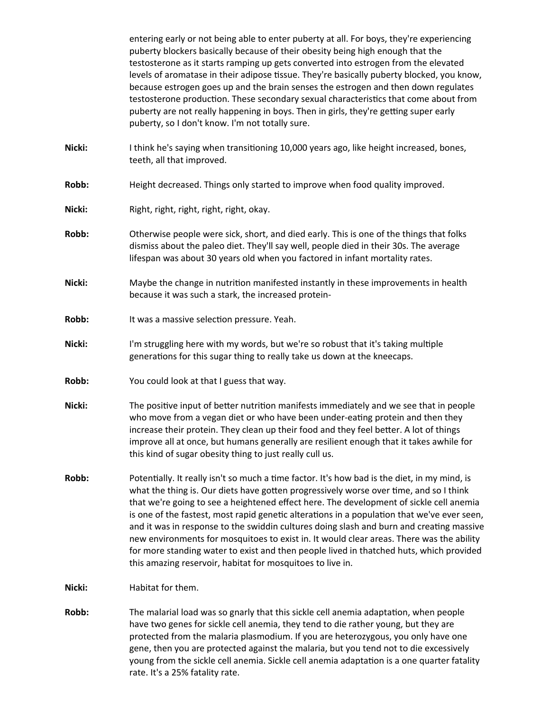entering early or not being able to enter puberty at all. For boys, they're experiencing puberty blockers basically because of their obesity being high enough that the testosterone as it starts ramping up gets converted into estrogen from the elevated levels of aromatase in their adipose tissue. They're basically puberty blocked, you know, because estrogen goes up and the brain senses the estrogen and then down regulates testosterone production. These secondary sexual characteristics that come about from puberty are not really happening in boys. Then in girls, they're getting super early puberty, so I don't know. I'm not totally sure.

- **Nicki:** I think he's saying when transitioning 10,000 years ago, like height increased, bones, teeth, all that improved.
- **Robb:** Height decreased. Things only started to improve when food quality improved.
- Nicki: Right, right, right, right, right, okay.
- **Robb:** Otherwise people were sick, short, and died early. This is one of the things that folks dismiss about the paleo diet. They'll say well, people died in their 30s. The average lifespan was about 30 years old when you factored in infant mortality rates.
- **Nicki:** Maybe the change in nutrition manifested instantly in these improvements in health because it was such a stark, the increased protein-
- **Robb:** It was a massive selection pressure. Yeah.
- **Nicki:** I'm struggling here with my words, but we're so robust that it's taking multiple generations for this sugar thing to really take us down at the kneecaps.
- **Robb:** You could look at that I guess that way.
- **Nicki:** The positive input of better nutrition manifests immediately and we see that in people who move from a vegan diet or who have been under-eating protein and then they increase their protein. They clean up their food and they feel better. A lot of things improve all at once, but humans generally are resilient enough that it takes awhile for this kind of sugar obesity thing to just really cull us.
- **Robb:** Potentially. It really isn't so much a time factor. It's how bad is the diet, in my mind, is what the thing is. Our diets have gotten progressively worse over time, and so I think that we're going to see a heightened effect here. The development of sickle cell anemia is one of the fastest, most rapid genetic alterations in a population that we've ever seen, and it was in response to the swiddin cultures doing slash and burn and creating massive new environments for mosquitoes to exist in. It would clear areas. There was the ability for more standing water to exist and then people lived in thatched huts, which provided this amazing reservoir, habitat for mosquitoes to live in.
- **Nicki:** Habitat for them.
- **Robb:** The malarial load was so gnarly that this sickle cell anemia adaptation, when people have two genes for sickle cell anemia, they tend to die rather young, but they are protected from the malaria plasmodium. If you are heterozygous, you only have one gene, then you are protected against the malaria, but you tend not to die excessively young from the sickle cell anemia. Sickle cell anemia adaptation is a one quarter fatality rate. It's a 25% fatality rate.